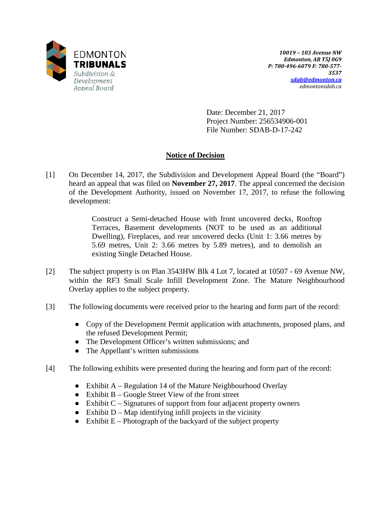

*10019 – 103 Avenue NW Edmonton, AB T5J 0G9 P: 780-496-6079 F: 780-577- 3537 [sdab@edmonton.ca](mailto:sdab@edmonton.ca) edmontonsdab.ca*

Date: December 21, 2017 Project Number: 256534906-001 File Number: SDAB-D-17-242

# **Notice of Decision**

[1] On December 14, 2017, the Subdivision and Development Appeal Board (the "Board") heard an appeal that was filed on **November 27, 2017**. The appeal concerned the decision of the Development Authority, issued on November 17, 2017, to refuse the following development:

> Construct a Semi-detached House with front uncovered decks, Rooftop Terraces, Basement developments (NOT to be used as an additional Dwelling), Fireplaces, and rear uncovered decks (Unit 1: 3.66 metres by 5.69 metres, Unit 2: 3.66 metres by 5.89 metres), and to demolish an existing Single Detached House.

- [2] The subject property is on Plan 3543HW Blk 4 Lot 7, located at 10507 69 Avenue NW, within the RF3 Small Scale Infill Development Zone. The Mature Neighbourhood Overlay applies to the subject property.
- [3] The following documents were received prior to the hearing and form part of the record:
	- Copy of the Development Permit application with attachments, proposed plans, and the refused Development Permit;
	- The Development Officer's written submissions; and
	- The Appellant's written submissions
- [4] The following exhibits were presented during the hearing and form part of the record:
	- Exhibit A Regulation 14 of the Mature Neighbourhood Overlay
	- $\bullet$  Exhibit B Google Street View of the front street
	- $\bullet$  Exhibit C Signatures of support from four adjacent property owners
	- $\bullet$  Exhibit D Map identifying infill projects in the vicinity
	- $\bullet$  Exhibit E Photograph of the backyard of the subject property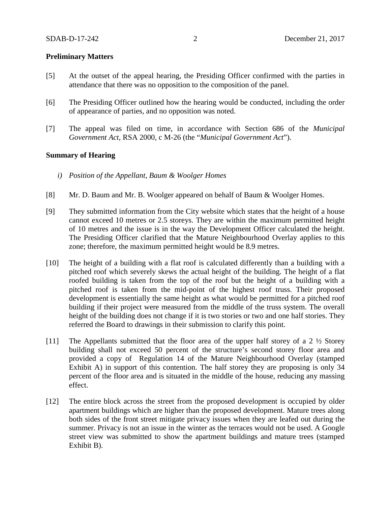### **Preliminary Matters**

- [5] At the outset of the appeal hearing, the Presiding Officer confirmed with the parties in attendance that there was no opposition to the composition of the panel.
- [6] The Presiding Officer outlined how the hearing would be conducted, including the order of appearance of parties, and no opposition was noted.
- [7] The appeal was filed on time, in accordance with Section 686 of the *Municipal Government Act*, RSA 2000, c M-26 (the "*Municipal Government Act*").

### **Summary of Hearing**

- *i) Position of the Appellant, Baum & Woolger Homes*
- [8] Mr. D. Baum and Mr. B. Woolger appeared on behalf of Baum & Woolger Homes.
- [9] They submitted information from the City website which states that the height of a house cannot exceed 10 metres or 2.5 storeys. They are within the maximum permitted height of 10 metres and the issue is in the way the Development Officer calculated the height. The Presiding Officer clarified that the Mature Neighbourhood Overlay applies to this zone; therefore, the maximum permitted height would be 8.9 metres.
- [10] The height of a building with a flat roof is calculated differently than a building with a pitched roof which severely skews the actual height of the building. The height of a flat roofed building is taken from the top of the roof but the height of a building with a pitched roof is taken from the mid-point of the highest roof truss. Their proposed development is essentially the same height as what would be permitted for a pitched roof building if their project were measured from the middle of the truss system. The overall height of the building does not change if it is two stories or two and one half stories. They referred the Board to drawings in their submission to clarify this point.
- [11] The Appellants submitted that the floor area of the upper half storey of a 2  $\frac{1}{2}$  Storey building shall not exceed 50 percent of the structure's second storey floor area and provided a copy of Regulation 14 of the Mature Neighbourhood Overlay (stamped Exhibit A) in support of this contention. The half storey they are proposing is only 34 percent of the floor area and is situated in the middle of the house, reducing any massing effect.
- [12] The entire block across the street from the proposed development is occupied by older apartment buildings which are higher than the proposed development. Mature trees along both sides of the front street mitigate privacy issues when they are leafed out during the summer. Privacy is not an issue in the winter as the terraces would not be used. A Google street view was submitted to show the apartment buildings and mature trees (stamped Exhibit B).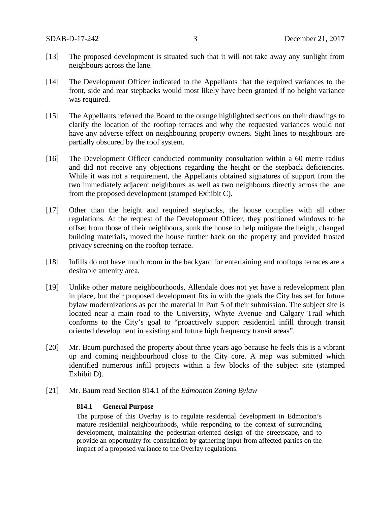- [13] The proposed development is situated such that it will not take away any sunlight from neighbours across the lane.
- [14] The Development Officer indicated to the Appellants that the required variances to the front, side and rear stepbacks would most likely have been granted if no height variance was required.
- [15] The Appellants referred the Board to the orange highlighted sections on their drawings to clarify the location of the rooftop terraces and why the requested variances would not have any adverse effect on neighbouring property owners. Sight lines to neighbours are partially obscured by the roof system.
- [16] The Development Officer conducted community consultation within a 60 metre radius and did not receive any objections regarding the height or the stepback deficiencies. While it was not a requirement, the Appellants obtained signatures of support from the two immediately adjacent neighbours as well as two neighbours directly across the lane from the proposed development (stamped Exhibit C).
- [17] Other than the height and required stepbacks, the house complies with all other regulations. At the request of the Development Officer, they positioned windows to be offset from those of their neighbours, sunk the house to help mitigate the height, changed building materials, moved the house further back on the property and provided frosted privacy screening on the rooftop terrace.
- [18] Infills do not have much room in the backyard for entertaining and rooftops terraces are a desirable amenity area.
- [19] Unlike other mature neighbourhoods, Allendale does not yet have a redevelopment plan in place, but their proposed development fits in with the goals the City has set for future bylaw modernizations as per the material in Part 5 of their submission. The subject site is located near a main road to the University, Whyte Avenue and Calgary Trail which conforms to the City's goal to "proactively support residential infill through transit oriented development in existing and future high frequency transit areas".
- [20] Mr. Baum purchased the property about three years ago because he feels this is a vibrant up and coming neighbourhood close to the City core. A map was submitted which identified numerous infill projects within a few blocks of the subject site (stamped Exhibit D).
- [21] Mr. Baum read Section 814.1 of the *Edmonton Zoning Bylaw*

### **814.1 General Purpose**

The purpose of this Overlay is to regulate residential development in Edmonton's mature residential neighbourhoods, while responding to the context of surrounding development, maintaining the pedestrian-oriented design of the streetscape, and to provide an opportunity for consultation by gathering input from affected parties on the impact of a proposed variance to the Overlay regulations.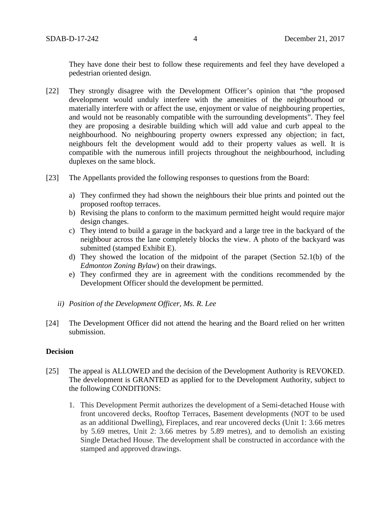They have done their best to follow these requirements and feel they have developed a pedestrian oriented design.

- [22] They strongly disagree with the Development Officer's opinion that "the proposed development would unduly interfere with the amenities of the neighbourhood or materially interfere with or affect the use, enjoyment or value of neighbouring properties, and would not be reasonably compatible with the surrounding developments". They feel they are proposing a desirable building which will add value and curb appeal to the neighbourhood. No neighbouring property owners expressed any objection; in fact, neighbours felt the development would add to their property values as well. It is compatible with the numerous infill projects throughout the neighbourhood, including duplexes on the same block.
- [23] The Appellants provided the following responses to questions from the Board:
	- a) They confirmed they had shown the neighbours their blue prints and pointed out the proposed rooftop terraces.
	- b) Revising the plans to conform to the maximum permitted height would require major design changes.
	- c) They intend to build a garage in the backyard and a large tree in the backyard of the neighbour across the lane completely blocks the view. A photo of the backyard was submitted (stamped Exhibit E).
	- d) They showed the location of the midpoint of the parapet (Section 52.1(b) of the *Edmonton Zoning Bylaw*) on their drawings.
	- e) They confirmed they are in agreement with the conditions recommended by the Development Officer should the development be permitted.
	- *ii) Position of the Development Officer, Ms. R. Lee*
- [24] The Development Officer did not attend the hearing and the Board relied on her written submission.

# **Decision**

- [25] The appeal is ALLOWED and the decision of the Development Authority is REVOKED. The development is GRANTED as applied for to the Development Authority, subject to the following CONDITIONS:
	- 1. This Development Permit authorizes the development of a Semi-detached House with front uncovered decks, Rooftop Terraces, Basement developments (NOT to be used as an additional Dwelling), Fireplaces, and rear uncovered decks (Unit 1: 3.66 metres by 5.69 metres, Unit 2: 3.66 metres by 5.89 metres), and to demolish an existing Single Detached House. The development shall be constructed in accordance with the stamped and approved drawings.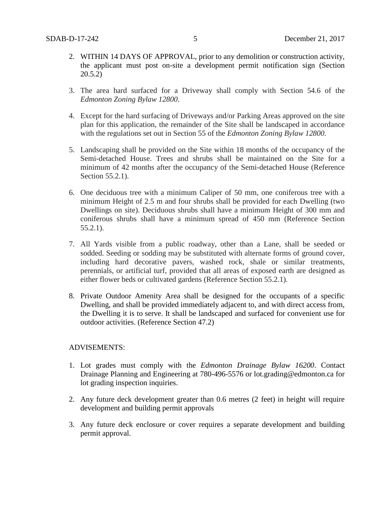- 2. WITHIN 14 DAYS OF APPROVAL, prior to any demolition or construction activity, the applicant must post on-site a development permit notification sign (Section 20.5.2)
- 3. The area hard surfaced for a Driveway shall comply with Section 54.6 of the *Edmonton Zoning Bylaw 12800*.
- 4. Except for the hard surfacing of Driveways and/or Parking Areas approved on the site plan for this application, the remainder of the Site shall be landscaped in accordance with the regulations set out in Section 55 of the *Edmonton Zoning Bylaw 12800.*
- 5. Landscaping shall be provided on the Site within 18 months of the occupancy of the Semi-detached House. Trees and shrubs shall be maintained on the Site for a minimum of 42 months after the occupancy of the Semi-detached House (Reference Section 55.2.1).
- 6. One deciduous tree with a minimum Caliper of 50 mm, one coniferous tree with a minimum Height of 2.5 m and four shrubs shall be provided for each Dwelling (two Dwellings on site). Deciduous shrubs shall have a minimum Height of 300 mm and coniferous shrubs shall have a minimum spread of 450 mm (Reference Section 55.2.1).
- 7. All Yards visible from a public roadway, other than a Lane, shall be seeded or sodded. Seeding or sodding may be substituted with alternate forms of ground cover, including hard decorative pavers, washed rock, shale or similar treatments, perennials, or artificial turf, provided that all areas of exposed earth are designed as either flower beds or cultivated gardens (Reference Section 55.2.1).
- 8. Private Outdoor Amenity Area shall be designed for the occupants of a specific Dwelling, and shall be provided immediately adjacent to, and with direct access from, the Dwelling it is to serve. It shall be landscaped and surfaced for convenient use for outdoor activities. (Reference Section 47.2)

# ADVISEMENTS:

- 1. Lot grades must comply with the *Edmonton Drainage Bylaw 16200*. Contact Drainage Planning and Engineering at 780-496-5576 or lot.grading@edmonton.ca for lot grading inspection inquiries.
- 2. Any future deck development greater than 0.6 metres (2 feet) in height will require development and building permit approvals
- 3. Any future deck enclosure or cover requires a separate development and building permit approval.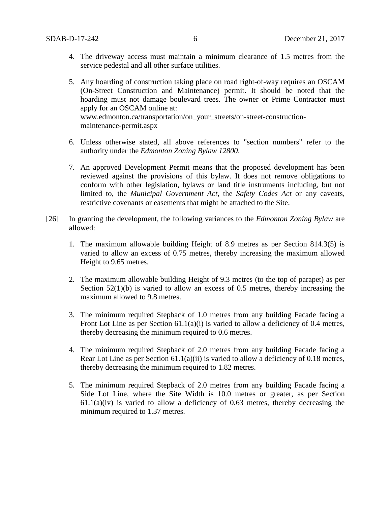- 4. The driveway access must maintain a minimum clearance of 1.5 metres from the service pedestal and all other surface utilities.
- 5. Any hoarding of construction taking place on road right-of-way requires an OSCAM (On-Street Construction and Maintenance) permit. It should be noted that the hoarding must not damage boulevard trees. The owner or Prime Contractor must apply for an OSCAM online at: www.edmonton.ca/transportation/on\_your\_streets/on-street-constructionmaintenance-permit.aspx
- 6. Unless otherwise stated, all above references to "section numbers" refer to the authority under the *Edmonton Zoning Bylaw 12800*.
- 7. An approved Development Permit means that the proposed development has been reviewed against the provisions of this bylaw. It does not remove obligations to conform with other legislation, bylaws or land title instruments including, but not limited to, the *Municipal Government Act*, the *Safety Codes Act* or any caveats, restrictive covenants or easements that might be attached to the Site.
- [26] In granting the development, the following variances to the *Edmonton Zoning Bylaw* are allowed:
	- 1. The maximum allowable building Height of 8.9 metres as per Section 814.3(5) is varied to allow an excess of 0.75 metres, thereby increasing the maximum allowed Height to 9.65 metres.
	- 2. The maximum allowable building Height of 9.3 metres (to the top of parapet) as per Section  $52(1)(b)$  is varied to allow an excess of 0.5 metres, thereby increasing the maximum allowed to 9.8 metres.
	- 3. The minimum required Stepback of 1.0 metres from any building Facade facing a Front Lot Line as per Section 61.1(a)(i) is varied to allow a deficiency of 0.4 metres, thereby decreasing the minimum required to 0.6 metres.
	- 4. The minimum required Stepback of 2.0 metres from any building Facade facing a Rear Lot Line as per Section 61.1(a)(ii) is varied to allow a deficiency of 0.18 metres, thereby decreasing the minimum required to 1.82 metres.
	- 5. The minimum required Stepback of 2.0 metres from any building Facade facing a Side Lot Line, where the Site Width is 10.0 metres or greater, as per Section  $61.1(a)(iv)$  is varied to allow a deficiency of 0.63 metres, thereby decreasing the minimum required to 1.37 metres.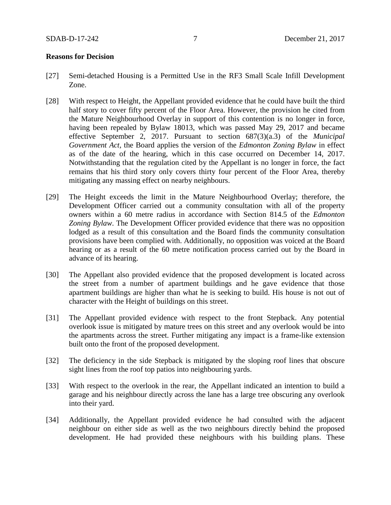#### **Reasons for Decision**

- [27] Semi-detached Housing is a Permitted Use in the RF3 Small Scale Infill Development Zone.
- [28] With respect to Height, the Appellant provided evidence that he could have built the third half story to cover fifty percent of the Floor Area. However, the provision he cited from the Mature Neighbourhood Overlay in support of this contention is no longer in force, having been repealed by Bylaw 18013, which was passed May 29, 2017 and became effective September 2, 2017. Pursuant to section 687(3)(a.3) of the *Municipal Government Act,* the Board applies the version of the *Edmonton Zoning Bylaw* in effect as of the date of the hearing, which in this case occurred on December 14, 2017. Notwithstanding that the regulation cited by the Appellant is no longer in force, the fact remains that his third story only covers thirty four percent of the Floor Area, thereby mitigating any massing effect on nearby neighbours.
- [29] The Height exceeds the limit in the Mature Neighbourhood Overlay; therefore, the Development Officer carried out a community consultation with all of the property owners within a 60 metre radius in accordance with Section 814.5 of the *Edmonton Zoning Bylaw*. The Development Officer provided evidence that there was no opposition lodged as a result of this consultation and the Board finds the community consultation provisions have been complied with. Additionally, no opposition was voiced at the Board hearing or as a result of the 60 metre notification process carried out by the Board in advance of its hearing.
- [30] The Appellant also provided evidence that the proposed development is located across the street from a number of apartment buildings and he gave evidence that those apartment buildings are higher than what he is seeking to build. His house is not out of character with the Height of buildings on this street.
- [31] The Appellant provided evidence with respect to the front Stepback. Any potential overlook issue is mitigated by mature trees on this street and any overlook would be into the apartments across the street. Further mitigating any impact is a frame-like extension built onto the front of the proposed development.
- [32] The deficiency in the side Stepback is mitigated by the sloping roof lines that obscure sight lines from the roof top patios into neighbouring yards.
- [33] With respect to the overlook in the rear, the Appellant indicated an intention to build a garage and his neighbour directly across the lane has a large tree obscuring any overlook into their yard.
- [34] Additionally, the Appellant provided evidence he had consulted with the adjacent neighbour on either side as well as the two neighbours directly behind the proposed development. He had provided these neighbours with his building plans. These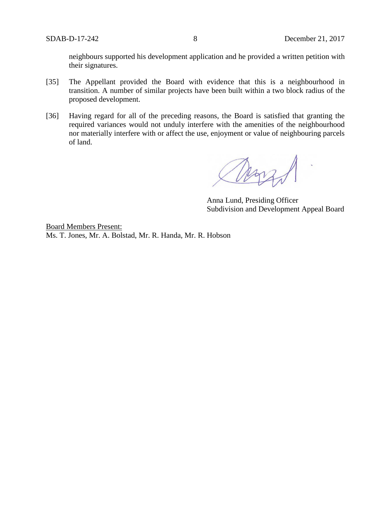neighbours supported his development application and he provided a written petition with their signatures.

- [35] The Appellant provided the Board with evidence that this is a neighbourhood in transition. A number of similar projects have been built within a two block radius of the proposed development.
- [36] Having regard for all of the preceding reasons, the Board is satisfied that granting the required variances would not unduly interfere with the amenities of the neighbourhood nor materially interfere with or affect the use, enjoyment or value of neighbouring parcels of land.

Anna Lund, Presiding Officer Subdivision and Development Appeal Board

Board Members Present: Ms. T. Jones, Mr. A. Bolstad, Mr. R. Handa, Mr. R. Hobson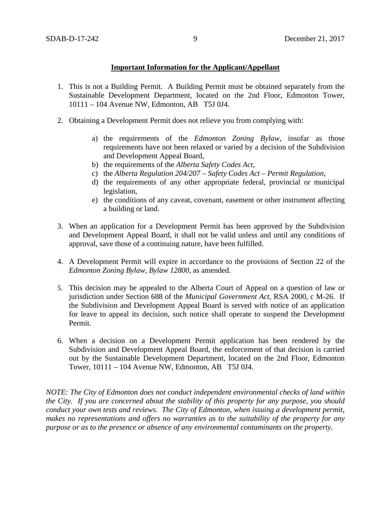### **Important Information for the Applicant/Appellant**

- 1. This is not a Building Permit. A Building Permit must be obtained separately from the Sustainable Development Department, located on the 2nd Floor, Edmonton Tower, 10111 – 104 Avenue NW, Edmonton, AB T5J 0J4.
- 2. Obtaining a Development Permit does not relieve you from complying with:
	- a) the requirements of the *Edmonton Zoning Bylaw*, insofar as those requirements have not been relaxed or varied by a decision of the Subdivision and Development Appeal Board,
	- b) the requirements of the *Alberta Safety Codes Act*,
	- c) the *Alberta Regulation 204/207 – Safety Codes Act – Permit Regulation*,
	- d) the requirements of any other appropriate federal, provincial or municipal legislation,
	- e) the conditions of any caveat, covenant, easement or other instrument affecting a building or land.
- 3. When an application for a Development Permit has been approved by the Subdivision and Development Appeal Board, it shall not be valid unless and until any conditions of approval, save those of a continuing nature, have been fulfilled.
- 4. A Development Permit will expire in accordance to the provisions of Section 22 of the *Edmonton Zoning Bylaw, Bylaw 12800*, as amended.
- 5. This decision may be appealed to the Alberta Court of Appeal on a question of law or jurisdiction under Section 688 of the *Municipal Government Act*, RSA 2000, c M-26. If the Subdivision and Development Appeal Board is served with notice of an application for leave to appeal its decision, such notice shall operate to suspend the Development Permit.
- 6. When a decision on a Development Permit application has been rendered by the Subdivision and Development Appeal Board, the enforcement of that decision is carried out by the Sustainable Development Department, located on the 2nd Floor, Edmonton Tower, 10111 – 104 Avenue NW, Edmonton, AB T5J 0J4.

*NOTE: The City of Edmonton does not conduct independent environmental checks of land within the City. If you are concerned about the stability of this property for any purpose, you should conduct your own tests and reviews. The City of Edmonton, when issuing a development permit, makes no representations and offers no warranties as to the suitability of the property for any purpose or as to the presence or absence of any environmental contaminants on the property.*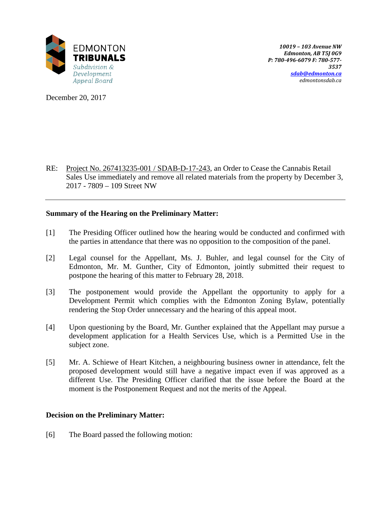

December 20, 2017

RE: Project No. 267413235-001 / SDAB-D-17-243, an Order to Cease the Cannabis Retail Sales Use immediately and remove all related materials from the property by December 3, 2017 - 7809 – 109 Street NW

# **Summary of the Hearing on the Preliminary Matter:**

- [1] The Presiding Officer outlined how the hearing would be conducted and confirmed with the parties in attendance that there was no opposition to the composition of the panel.
- [2] Legal counsel for the Appellant, Ms. J. Buhler, and legal counsel for the City of Edmonton, Mr. M. Gunther, City of Edmonton, jointly submitted their request to postpone the hearing of this matter to February 28, 2018.
- [3] The postponement would provide the Appellant the opportunity to apply for a Development Permit which complies with the Edmonton Zoning Bylaw, potentially rendering the Stop Order unnecessary and the hearing of this appeal moot.
- [4] Upon questioning by the Board, Mr. Gunther explained that the Appellant may pursue a development application for a Health Services Use, which is a Permitted Use in the subject zone.
- [5] Mr. A. Schiewe of Heart Kitchen, a neighbouring business owner in attendance, felt the proposed development would still have a negative impact even if was approved as a different Use. The Presiding Officer clarified that the issue before the Board at the moment is the Postponement Request and not the merits of the Appeal.

# **Decision on the Preliminary Matter:**

[6] The Board passed the following motion: